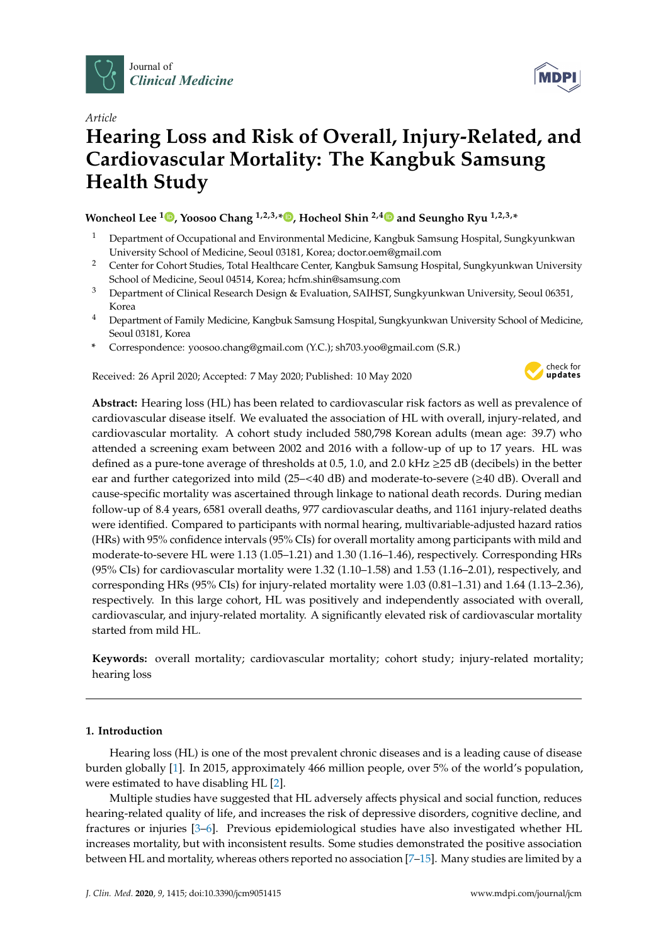

*Article*

# **Hearing Loss and Risk of Overall, Injury-Related, and Cardiovascular Mortality: The Kangbuk Samsung Health Study**

**Woncheol Lee <sup>1</sup> [,](https://orcid.org/0000-0001-8535-3988) Yoosoo Chang 1,2,3,[\\*](https://orcid.org/0000-0002-6945-9050) , Hocheol Shin 2,[4](https://orcid.org/0000-0003-0212-1917) and Seungho Ryu 1,2,3,\***

- <sup>1</sup> Department of Occupational and Environmental Medicine, Kangbuk Samsung Hospital, Sungkyunkwan University School of Medicine, Seoul 03181, Korea; doctor.oem@gmail.com
- <sup>2</sup> Center for Cohort Studies, Total Healthcare Center, Kangbuk Samsung Hospital, Sungkyunkwan University School of Medicine, Seoul 04514, Korea; hcfm.shin@samsung.com
- <sup>3</sup> Department of Clinical Research Design & Evaluation, SAIHST, Sungkyunkwan University, Seoul 06351, Korea
- <sup>4</sup> Department of Family Medicine, Kangbuk Samsung Hospital, Sungkyunkwan University School of Medicine, Seoul 03181, Korea
- **\*** Correspondence: yoosoo.chang@gmail.com (Y.C.); sh703.yoo@gmail.com (S.R.)

Received: 26 April 2020; Accepted: 7 May 2020; Published: 10 May 2020



**Abstract:** Hearing loss (HL) has been related to cardiovascular risk factors as well as prevalence of cardiovascular disease itself. We evaluated the association of HL with overall, injury-related, and cardiovascular mortality. A cohort study included 580,798 Korean adults (mean age: 39.7) who attended a screening exam between 2002 and 2016 with a follow-up of up to 17 years. HL was defined as a pure-tone average of thresholds at 0.5, 1.0, and 2.0 kHz  $\geq$ 25 dB (decibels) in the better ear and further categorized into mild (25–<40 dB) and moderate-to-severe (≥40 dB). Overall and cause-specific mortality was ascertained through linkage to national death records. During median follow-up of 8.4 years, 6581 overall deaths, 977 cardiovascular deaths, and 1161 injury-related deaths were identified. Compared to participants with normal hearing, multivariable-adjusted hazard ratios (HRs) with 95% confidence intervals (95% CIs) for overall mortality among participants with mild and moderate-to-severe HL were 1.13 (1.05–1.21) and 1.30 (1.16–1.46), respectively. Corresponding HRs (95% CIs) for cardiovascular mortality were 1.32 (1.10–1.58) and 1.53 (1.16–2.01), respectively, and corresponding HRs (95% CIs) for injury-related mortality were 1.03 (0.81–1.31) and 1.64 (1.13–2.36), respectively. In this large cohort, HL was positively and independently associated with overall, cardiovascular, and injury-related mortality. A significantly elevated risk of cardiovascular mortality started from mild HL.

**Keywords:** overall mortality; cardiovascular mortality; cohort study; injury-related mortality; hearing loss

# **1. Introduction**

Hearing loss (HL) is one of the most prevalent chronic diseases and is a leading cause of disease burden globally [\[1\]](#page-8-0). In 2015, approximately 466 million people, over 5% of the world's population, were estimated to have disabling HL [\[2\]](#page-8-1).

Multiple studies have suggested that HL adversely affects physical and social function, reduces hearing-related quality of life, and increases the risk of depressive disorders, cognitive decline, and fractures or injuries [\[3–](#page-8-2)[6\]](#page-8-3). Previous epidemiological studies have also investigated whether HL increases mortality, but with inconsistent results. Some studies demonstrated the positive association between HL and mortality, whereas others reported no association [\[7](#page-8-4)[–15\]](#page-9-0). Many studies are limited by a

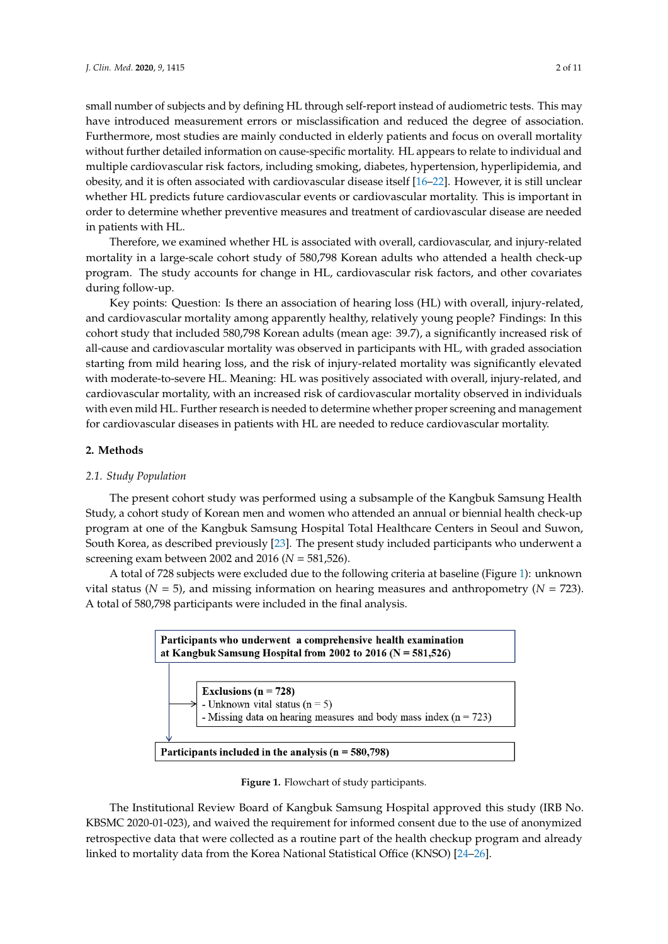small number of subjects and by defining HL through self-report instead of audiometric tests. This may have introduced measurement errors or misclassification and reduced the degree of association. Furthermore, most studies are mainly conducted in elderly patients and focus on overall mortality without further detailed information on cause-specific mortality. HL appears to relate to individual and multiple cardiovascular risk factors, including smoking, diabetes, hypertension, hyperlipidemia, and obesity, and it is often associated with cardiovascular disease itself [\[16–](#page-9-1)[22\]](#page-9-2). However, it is still unclear whether HL predicts future cardiovascular events or cardiovascular mortality. This is important in order to determine whether preventive measures and treatment of cardiovascular disease are needed in patients with HL.

Therefore, we examined whether HL is associated with overall, cardiovascular, and injury-related mortality in a large-scale cohort study of 580,798 Korean adults who attended a health check-up program. The study accounts for change in HL, cardiovascular risk factors, and other covariates during follow-up.  $\frac{1}{2}$  program. The study accounts for change in  $\frac{1}{2}$  for change in  $\frac{1}{2}$  factors, and other risk factors, and other risk factors, and other risk factors, and other risk factors, and other risk factors, and ot

 $\overline{K}$  Key points: Question: Is there an association of hearing loss (HL) with overall, injury-related, and cardiovascular mortality among apparently healthy, relatively young people? Findings: In this cohort study that included 580,798 Korean adults (mean age: 39.7), a significantly increased risk of cohort study that included 580,798 Korean adults (mean age: 39.7), a significantly increased risk of all-cause and cardiovascular mortality was observed in participants with HL, with graded association all-cause and cardiovascular mortality was observed in participants with HL, with graded starting from mild hearing loss, and the risk of injury-related mortality was significantly elevated with moderate-to-severe HL. Meaning: HL was positively associated with overall, injury-related, and cardiovascular mortality, with an increased risk of cardiovascular mortality observed in individuals with even mild HL. Further research is needed to determine whether proper screening and management for cardiovascular diseases in patients with HL are needed to reduce cardiovascular mortality. and cardiovascular mortality among apparently healthy, relatively young people? Findings: In this

## **2. Methods**

## *2.1. Study Population*

The present cohort study was performed using a subsample of the Kangbuk Samsung Health *2.1. Study Population*  Study, a cohort study of Korean men and women who attended an annual or biennial health check-up program at one of the Kangbuk Samsung Hospital Total Healthcare Centers in Seoul and Suwon, South Korea, as described previously [23]. The present study included participants who underwent a screening exam between 2002 and  $2016$  ( $N = 581,526$ ).

A total of 728 subjects were excluded due to the following criteria at baseline (Figure [1\)](#page-1-0): unknown vital status ( $N = 5$ ), and missing information on hearing measures and anthropometry ( $N = 723$ ). A total of 580,798 participants were included in the final analysis.

<span id="page-1-0"></span>



The Institutional Review Board of Kangbuk Samsung Hospital approved this study (IRB No.<br>The Institutional Review Board of Kangbuk Samsung Hospital approved this study (IRB No. KBSMC 2020-01-023), and waived the requirement for informed consent due to the use of KBSMC 2020-01-023), and waived the requirement for informed consent due to the use of anonymized retrospective data that were collected as a routine part of the health checkup program and already linked to mortality data from the Korea National Statistical Office (KNSO) [\[24–](#page-9-4)[26\]](#page-9-5).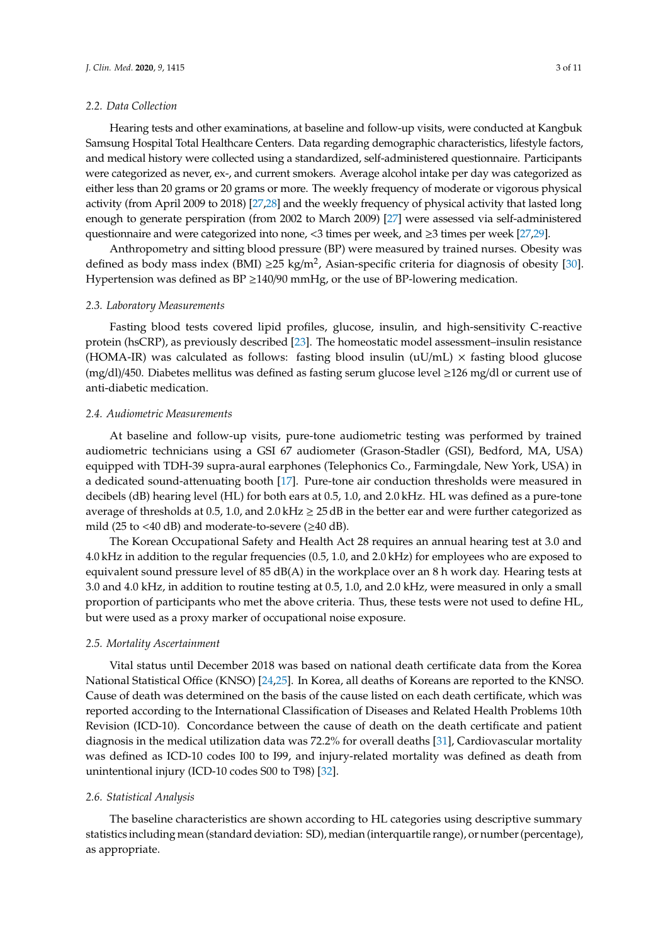## *2.2. Data Collection*

Hearing tests and other examinations, at baseline and follow-up visits, were conducted at Kangbuk Samsung Hospital Total Healthcare Centers. Data regarding demographic characteristics, lifestyle factors, and medical history were collected using a standardized, self-administered questionnaire. Participants were categorized as never, ex-, and current smokers. Average alcohol intake per day was categorized as either less than 20 grams or 20 grams or more. The weekly frequency of moderate or vigorous physical activity (from April 2009 to 2018) [\[27](#page-9-6)[,28\]](#page-9-7) and the weekly frequency of physical activity that lasted long enough to generate perspiration (from 2002 to March 2009) [\[27\]](#page-9-6) were assessed via self-administered questionnaire and were categorized into none, <3 times per week, and ≥3 times per week [\[27,](#page-9-6)[29\]](#page-10-0).

Anthropometry and sitting blood pressure (BP) were measured by trained nurses. Obesity was defined as body mass index (BMI)  $\geq$  25 kg/m<sup>2</sup>, Asian-specific criteria for diagnosis of obesity [\[30\]](#page-10-1). Hypertension was defined as  $BP \geq 140/90$  mmHg, or the use of BP-lowering medication.

#### *2.3. Laboratory Measurements*

Fasting blood tests covered lipid profiles, glucose, insulin, and high-sensitivity C-reactive protein (hsCRP), as previously described [\[23\]](#page-9-3). The homeostatic model assessment–insulin resistance (HOMA-IR) was calculated as follows: fasting blood insulin  $(uU/mL) \times$  fasting blood glucose (mg/dl)/450. Diabetes mellitus was defined as fasting serum glucose level ≥126 mg/dl or current use of anti-diabetic medication.

## *2.4. Audiometric Measurements*

At baseline and follow-up visits, pure-tone audiometric testing was performed by trained audiometric technicians using a GSI 67 audiometer (Grason-Stadler (GSI), Bedford, MA, USA) equipped with TDH-39 supra-aural earphones (Telephonics Co., Farmingdale, New York, USA) in a dedicated sound-attenuating booth [\[17\]](#page-9-8). Pure-tone air conduction thresholds were measured in decibels (dB) hearing level (HL) for both ears at 0.5, 1.0, and 2.0 kHz. HL was defined as a pure-tone average of thresholds at 0.5, 1.0, and 2.0 kHz  $\geq$  25 dB in the better ear and were further categorized as mild (25 to  $\langle 40 \text{ dB} \rangle$  and moderate-to-severe ( $\geq 40 \text{ dB}$ ).

The Korean Occupational Safety and Health Act 28 requires an annual hearing test at 3.0 and 4.0 kHz in addition to the regular frequencies (0.5, 1.0, and 2.0 kHz) for employees who are exposed to equivalent sound pressure level of 85 dB(A) in the workplace over an 8 h work day. Hearing tests at 3.0 and 4.0 kHz, in addition to routine testing at 0.5, 1.0, and 2.0 kHz, were measured in only a small proportion of participants who met the above criteria. Thus, these tests were not used to define HL, but were used as a proxy marker of occupational noise exposure.

## *2.5. Mortality Ascertainment*

Vital status until December 2018 was based on national death certificate data from the Korea National Statistical Office (KNSO) [\[24,](#page-9-4)[25\]](#page-9-9). In Korea, all deaths of Koreans are reported to the KNSO. Cause of death was determined on the basis of the cause listed on each death certificate, which was reported according to the International Classification of Diseases and Related Health Problems 10th Revision (ICD-10). Concordance between the cause of death on the death certificate and patient diagnosis in the medical utilization data was 72.2% for overall deaths [\[31\]](#page-10-2), Cardiovascular mortality was defined as ICD-10 codes I00 to I99, and injury-related mortality was defined as death from unintentional injury (ICD-10 codes S00 to T98) [\[32\]](#page-10-3).

#### *2.6. Statistical Analysis*

The baseline characteristics are shown according to HL categories using descriptive summary statistics including mean (standard deviation: SD), median (interquartile range), or number (percentage), as appropriate.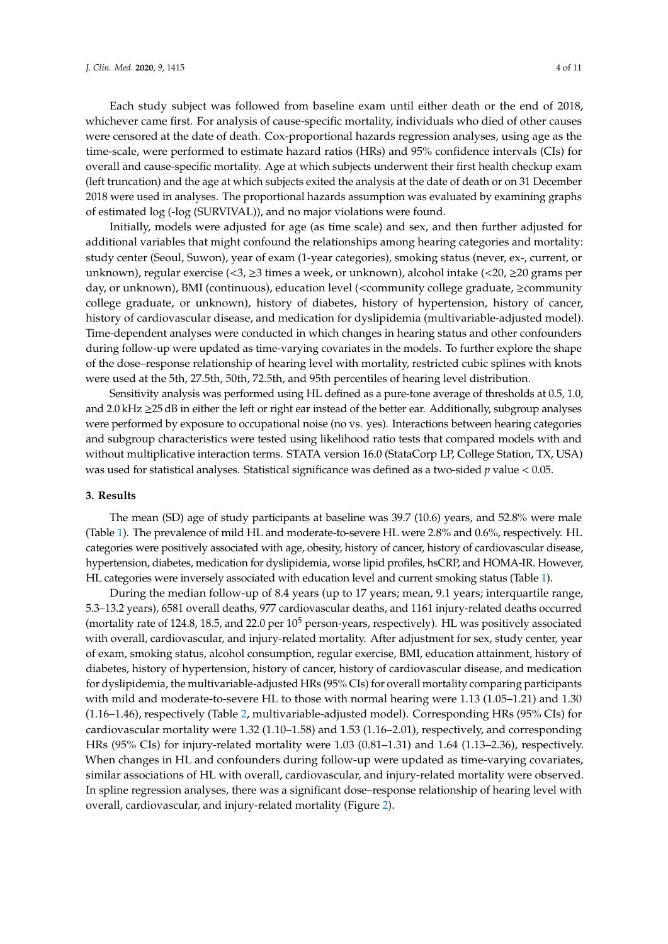Each study subject was followed from baseline exam until either death or the end of 2018, whichever came first. For analysis of cause-specific mortality, individuals who died of other causes were censored at the date of death. Cox-proportional hazards regression analyses, using age as the time-scale, were performed to estimate hazard ratios (HRs) and 95% confidence intervals (CIs) for overall and cause-specific mortality. Age at which subjects underwent their first health checkup exam (left truncation) and the age at which subjects exited the analysis at the date of death or on 31 December 2018 were used in analyses. The proportional hazards assumption was evaluated by examining graphs of estimated log (-log (SURVIVAL)), and no major violations were found.

Initially, models were adjusted for age (as time scale) and sex, and then further adjusted for additional variables that might confound the relationships among hearing categories and mortality: study center (Seoul, Suwon), year of exam (1-year categories), smoking status (never, ex-, current, or unknown), regular exercise (<3,  $\geq$ 3 times a week, or unknown), alcohol intake (<20,  $\geq$ 20 grams per day, or unknown), BMI (continuous), education level (<community college graduate, ≥community college graduate, or unknown), history of diabetes, history of hypertension, history of cancer, history of cardiovascular disease, and medication for dyslipidemia (multivariable-adjusted model). Time-dependent analyses were conducted in which changes in hearing status and other confounders during follow-up were updated as time-varying covariates in the models. To further explore the shape of the dose–response relationship of hearing level with mortality, restricted cubic splines with knots were used at the 5th, 27.5th, 50th, 72.5th, and 95th percentiles of hearing level distribution.

Sensitivity analysis was performed using HL defined as a pure-tone average of thresholds at 0.5, 1.0, and 2.0 kHz ≥25 dB in either the left or right ear instead of the better ear. Additionally, subgroup analyses were performed by exposure to occupational noise (no vs. yes). Interactions between hearing categories and subgroup characteristics were tested using likelihood ratio tests that compared models with and without multiplicative interaction terms. STATA version 16.0 (StataCorp LP, College Station, TX, USA) was used for statistical analyses. Statistical significance was defined as a two-sided *p* value < 0.05.

# **3. Results**

The mean (SD) age of study participants at baseline was 39.7 (10.6) years, and 52.8% were male (Table [1\)](#page-4-0). The prevalence of mild HL and moderate-to-severe HL were 2.8% and 0.6%, respectively. HL categories were positively associated with age, obesity, history of cancer, history of cardiovascular disease, hypertension, diabetes, medication for dyslipidemia, worse lipid profiles, hsCRP, and HOMA-IR. However, HL categories were inversely associated with education level and current smoking status (Table [1\)](#page-4-0).

During the median follow-up of 8.4 years (up to 17 years; mean, 9.1 years; interquartile range, 5.3–13.2 years), 6581 overall deaths, 977 cardiovascular deaths, and 1161 injury-related deaths occurred (mortality rate of 124.8, 18.5, and 22.0 per  $10^5$  person-years, respectively). HL was positively associated with overall, cardiovascular, and injury-related mortality. After adjustment for sex, study center, year of exam, smoking status, alcohol consumption, regular exercise, BMI, education attainment, history of diabetes, history of hypertension, history of cancer, history of cardiovascular disease, and medication for dyslipidemia, the multivariable-adjusted HRs (95% CIs) for overall mortality comparing participants with mild and moderate-to-severe HL to those with normal hearing were 1.13 (1.05–1.21) and 1.30 (1.16–1.46), respectively (Table [2,](#page-4-1) multivariable-adjusted model). Corresponding HRs (95% CIs) for cardiovascular mortality were 1.32 (1.10–1.58) and 1.53 (1.16–2.01), respectively, and corresponding HRs (95% CIs) for injury-related mortality were 1.03 (0.81–1.31) and 1.64 (1.13–2.36), respectively. When changes in HL and confounders during follow-up were updated as time-varying covariates, similar associations of HL with overall, cardiovascular, and injury-related mortality were observed. In spline regression analyses, there was a significant dose–response relationship of hearing level with overall, cardiovascular, and injury-related mortality (Figure [2\)](#page-5-0).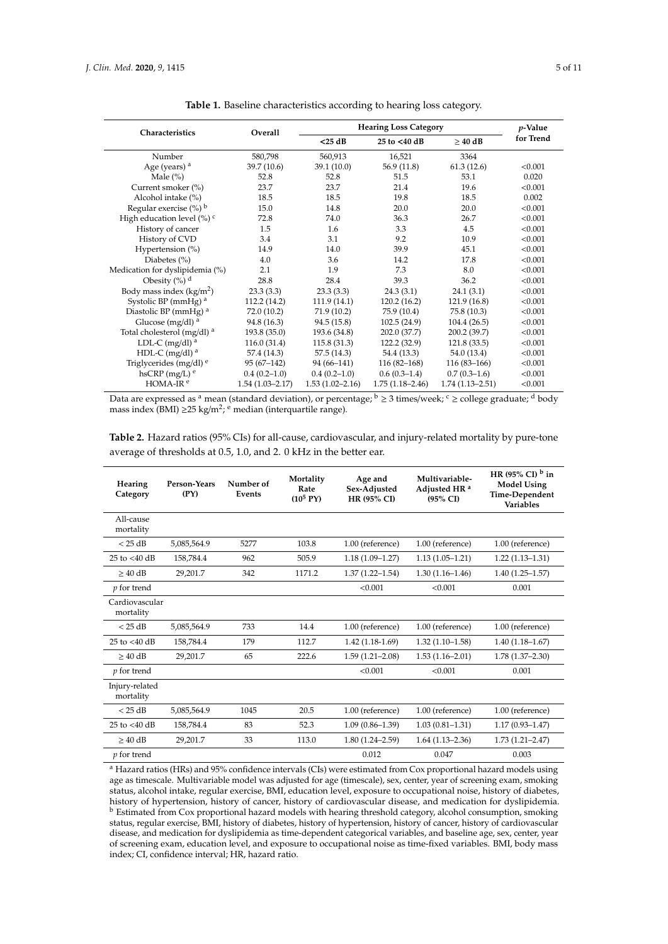<span id="page-4-0"></span>

| Characteristics                          | Overall             | <b>Hearing Loss Category</b> | $p$ -Value          |                     |           |
|------------------------------------------|---------------------|------------------------------|---------------------|---------------------|-----------|
|                                          |                     | $<$ 25 dB                    | 25 to <40 dB        | $\geq 40$ dB        | for Trend |
| Number                                   | 580,798             | 560,913                      | 16,521              | 3364                |           |
| Age (years) <sup>a</sup>                 | 39.7 (10.6)         | 39.1 (10.0)                  | 56.9 (11.8)         | 61.3(12.6)          | < 0.001   |
| Male $(\% )$                             | 52.8                | 52.8                         | 51.5                | 53.1                | 0.020     |
| Current smoker (%)                       | 23.7                | 23.7                         | 21.4                | 19.6                | < 0.001   |
| Alcohol intake (%)                       | 18.5                | 18.5                         | 19.8                | 18.5                | 0.002     |
| Regular exercise $(\%)$ <sup>b</sup>     | 15.0                | 14.8                         | 20.0                | 20.0                | < 0.001   |
| High education level $(\%)$ <sup>c</sup> | 72.8                | 74.0                         | 36.3                | 26.7                | < 0.001   |
| History of cancer                        | 1.5                 | 1.6                          | 3.3                 | 4.5                 | < 0.001   |
| History of CVD                           | 3.4                 | 3.1                          | 9.2                 | 10.9                | < 0.001   |
| Hypertension (%)                         | 14.9                | 14.0                         | 39.9                | 45.1                | < 0.001   |
| Diabetes $(\% )$                         | 4.0                 | 3.6                          | 14.2                | 17.8                | < 0.001   |
| Medication for dyslipidemia (%)          | 2.1                 | 1.9                          | 7.3                 | 8.0                 | < 0.001   |
| Obesity $(\%)$ <sup>d</sup>              | 28.8                | 28.4                         | 39.3                | 36.2                | < 0.001   |
| Body mass index $(kg/m2)$                | 23.3(3.3)           | 23.3(3.3)                    | 24.3(3.1)           | 24.1(3.1)           | < 0.001   |
| Systolic BP (mmHg) <sup>a</sup>          | 112.2 (14.2)        | 111.9(14.1)                  | 120.2(16.2)         | 121.9(16.8)         | < 0.001   |
| Diastolic BP (mmHg) <sup>a</sup>         | 72.0 (10.2)         | 71.9(10.2)                   | 75.9 (10.4)         | 75.8 (10.3)         | < 0.001   |
| Glucose (mg/dl) $a$                      | 94.8 (16.3)         | 94.5 (15.8)                  | 102.5(24.9)         | 104.4(26.5)         | < 0.001   |
| Total cholesterol (mg/dl) <sup>a</sup>   | 193.8 (35.0)        | 193.6 (34.8)                 | 202.0 (37.7)        | 200.2 (39.7)        | < 0.001   |
| LDL-C (mg/dl) <sup>a</sup>               | 116.0(31.4)         | 115.8(31.3)                  | 122.2 (32.9)        | 121.8(33.5)         | < 0.001   |
| HDL-C (mg/dl) $^a$                       | 57.4 (14.3)         | 57.5(14.3)                   | 54.4 (13.3)         | 54.0 (13.4)         | < 0.001   |
| Triglycerides (mg/dl) <sup>e</sup>       | $95(67-142)$        | 94 (66–141)                  | $116(82-168)$       | $116(83-166)$       | < 0.001   |
| hsCRP $(mg/L)$ <sup>e</sup>              | $0.4(0.2-1.0)$      | $0.4(0.2-1.0)$               | $0.6(0.3-1.4)$      | $0.7(0.3-1.6)$      | < 0.001   |
| HOMA-IR <sup>e</sup>                     | $1.54(1.03 - 2.17)$ | $1.53(1.02 - 2.16)$          | $1.75(1.18 - 2.46)$ | $1.74(1.13 - 2.51)$ | < 0.001   |

**Table 1.** Baseline characteristics according to hearing loss category.

Data are expressed as <sup>a</sup> mean (standard deviation), or percentage; <sup>b</sup> ≥ 3 times/week; <sup>c</sup> ≥ college graduate; <sup>d</sup> body mass index (BMI) ≥25 kg/m<sup>2</sup>; <sup>e</sup> median (interquartile range).

<span id="page-4-1"></span>**Table 2.** Hazard ratios (95% CIs) for all-cause, cardiovascular, and injury-related mortality by pure-tone average of thresholds at 0.5, 1.0, and 2. 0 kHz in the better ear.

| Hearing<br>Category         | Person-Years<br>(PY) | Number of<br>Events | Mortality<br>Rate<br>$(10^5 PY)$ | Age and<br>Sex-Adjusted<br>HR (95% CI) | Multivariable-<br>Adjusted HR <sup>a</sup><br>$(95\% \text{ CI})$ | HR (95% CI) $^{\rm b}$ in<br><b>Model Using</b><br>Time-Dependent<br><b>Variables</b> |
|-----------------------------|----------------------|---------------------|----------------------------------|----------------------------------------|-------------------------------------------------------------------|---------------------------------------------------------------------------------------|
| All-cause<br>mortality      |                      |                     |                                  |                                        |                                                                   |                                                                                       |
| $<$ 25 dB                   | 5,085,564.9          | 5277                | 103.8                            | 1.00 (reference)                       | 1.00 (reference)                                                  | 1.00 (reference)                                                                      |
| 25 to $<$ 40 dB             | 158,784.4            | 962                 | 505.9                            | $1.18(1.09 - 1.27)$                    | $1.13(1.05 - 1.21)$                                               | $1.22(1.13 - 1.31)$                                                                   |
| $> 40$ dB                   | 29,201.7             | 342                 | 1171.2                           | $1.37(1.22 - 1.54)$                    | $1.30(1.16 - 1.46)$                                               | $1.40(1.25 - 1.57)$                                                                   |
| $p$ for trend               |                      |                     |                                  | < 0.001                                | < 0.001                                                           | 0.001                                                                                 |
| Cardiovascular<br>mortality |                      |                     |                                  |                                        |                                                                   |                                                                                       |
| $<$ 25 dB                   | 5,085,564.9          | 733                 | 14.4                             | 1.00 (reference)                       | 1.00 (reference)                                                  | 1.00 (reference)                                                                      |
| 25 to $<$ 40 dB             | 158,784.4            | 179                 | 112.7                            | $1.42(1.18-1.69)$                      | $1.32(1.10-1.58)$                                                 | $1.40(1.18 - 1.67)$                                                                   |
| $> 40$ dB                   | 29,201.7             | 65                  | 222.6                            | $1.59(1.21 - 2.08)$                    | $1.53(1.16 - 2.01)$                                               | $1.78(1.37 - 2.30)$                                                                   |
| <i>p</i> for trend          |                      |                     |                                  | < 0.001                                | < 0.001                                                           | 0.001                                                                                 |
| Injury-related<br>mortality |                      |                     |                                  |                                        |                                                                   |                                                                                       |
| $<$ 25 dB                   | 5,085,564.9          | 1045                | 20.5                             | 1.00 (reference)                       | 1.00 (reference)                                                  | 1.00 (reference)                                                                      |
| 25 to $<$ 40 dB             | 158,784.4            | 83                  | 52.3                             | $1.09(0.86 - 1.39)$                    | $1.03(0.81 - 1.31)$                                               | $1.17(0.93 - 1.47)$                                                                   |
| $> 40$ dB                   | 29,201.7             | 33                  | 113.0                            | $1.80(1.24 - 2.59)$                    | $1.64(1.13 - 2.36)$                                               | $1.73(1.21 - 2.47)$                                                                   |
| <i>p</i> for trend          |                      |                     |                                  | 0.012                                  | 0.047                                                             | 0.003                                                                                 |
|                             |                      |                     |                                  |                                        |                                                                   |                                                                                       |

<sup>a</sup> Hazard ratios (HRs) and 95% confidence intervals (CIs) were estimated from Cox proportional hazard models using age as timescale. Multivariable model was adjusted for age (timescale), sex, center, year of screening exam, smoking status, alcohol intake, regular exercise, BMI, education level, exposure to occupational noise, history of diabetes, history of hypertension, history of cancer, history of cardiovascular disease, and medication for dyslipidemia. <sup>b</sup> Estimated from Cox proportional hazard models with hearing threshold category, alcohol consumption, smoking status, regular exercise, BMI, history of diabetes, history of hypertension, history of cancer, history of cardiovascular disease, and medication for dyslipidemia as time-dependent categorical variables, and baseline age, sex, center, year of screening exam, education level, and exposure to occupational noise as time-fixed variables. BMI, body mass index; CI, confidence interval; HR, hazard ratio.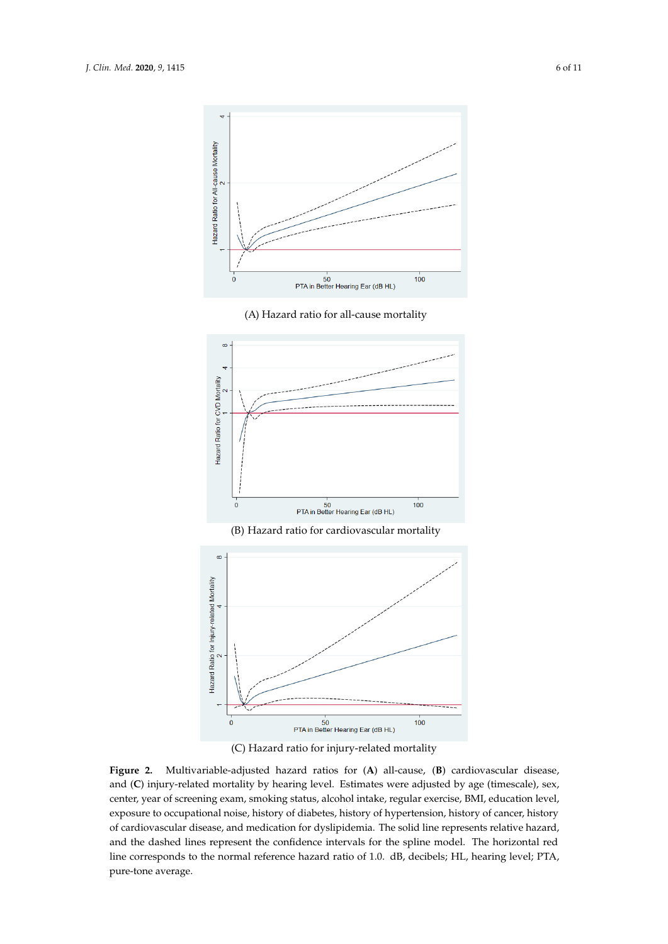<span id="page-5-0"></span>





(C) Hazard ratio for injury-related mortality

Figure 2. Multivariable-adjusted hazard ratios for (A) all-cause, (B) cardiovascular disease, and (C) injury-related mortality by hearing level. Estimates were adjusted by age (timescale), sex, center, year of screening exam, smoking status, alcohol intake, regular exercise, BMI, education level, exposure to occupational noise, history of diabetes, history of hypertension, history of cancer, exposure to occupational noise, history of diabetes, history of hypertension, history of cancer, history of cardiovascular disease, and medication for dyslipidemia. The solid line represents relative hazard, and the dashed lines represent the confidence intervals for the spline model. The horizontal red line corresponds to the normal reference hazard ratio of 1.0. dB, decibels; HL, hearing level; PTA, pure-tone average.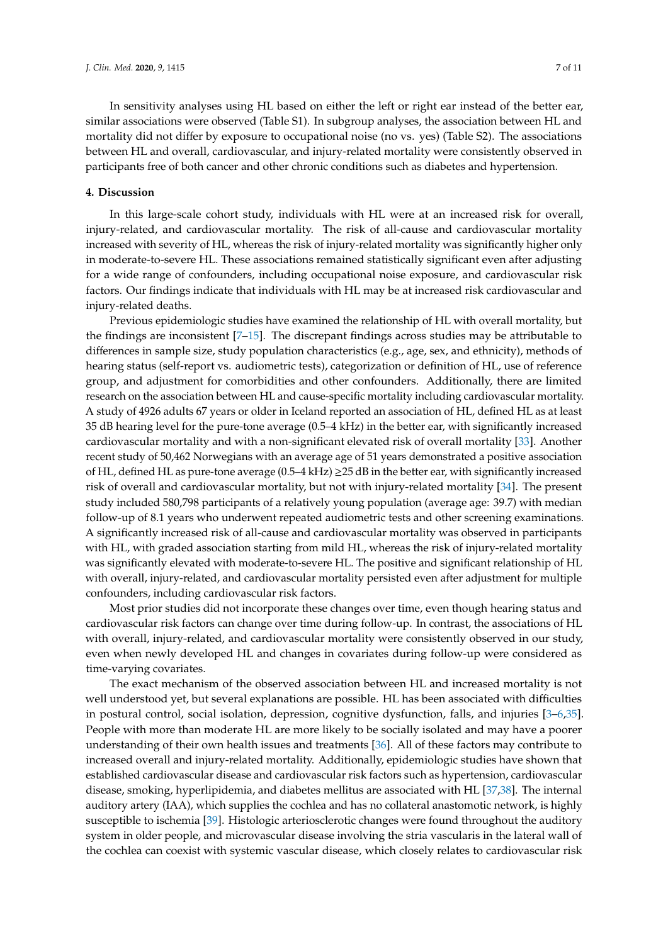In sensitivity analyses using HL based on either the left or right ear instead of the better ear, similar associations were observed (Table S1). In subgroup analyses, the association between HL and mortality did not differ by exposure to occupational noise (no vs. yes) (Table S2). The associations between HL and overall, cardiovascular, and injury-related mortality were consistently observed in participants free of both cancer and other chronic conditions such as diabetes and hypertension.

## **4. Discussion**

In this large-scale cohort study, individuals with HL were at an increased risk for overall, injury-related, and cardiovascular mortality. The risk of all-cause and cardiovascular mortality increased with severity of HL, whereas the risk of injury-related mortality was significantly higher only in moderate-to-severe HL. These associations remained statistically significant even after adjusting for a wide range of confounders, including occupational noise exposure, and cardiovascular risk factors. Our findings indicate that individuals with HL may be at increased risk cardiovascular and injury-related deaths.

Previous epidemiologic studies have examined the relationship of HL with overall mortality, but the findings are inconsistent [\[7–](#page-8-4)[15\]](#page-9-0). The discrepant findings across studies may be attributable to differences in sample size, study population characteristics (e.g., age, sex, and ethnicity), methods of hearing status (self-report vs. audiometric tests), categorization or definition of HL, use of reference group, and adjustment for comorbidities and other confounders. Additionally, there are limited research on the association between HL and cause-specific mortality including cardiovascular mortality. A study of 4926 adults 67 years or older in Iceland reported an association of HL, defined HL as at least 35 dB hearing level for the pure-tone average (0.5–4 kHz) in the better ear, with significantly increased cardiovascular mortality and with a non-significant elevated risk of overall mortality [\[33\]](#page-10-4). Another recent study of 50,462 Norwegians with an average age of 51 years demonstrated a positive association of HL, defined HL as pure-tone average  $(0.5-4 \text{ kHz}) \geq 25 \text{ dB}$  in the better ear, with significantly increased risk of overall and cardiovascular mortality, but not with injury-related mortality [\[34\]](#page-10-5). The present study included 580,798 participants of a relatively young population (average age: 39.7) with median follow-up of 8.1 years who underwent repeated audiometric tests and other screening examinations. A significantly increased risk of all-cause and cardiovascular mortality was observed in participants with HL, with graded association starting from mild HL, whereas the risk of injury-related mortality was significantly elevated with moderate-to-severe HL. The positive and significant relationship of HL with overall, injury-related, and cardiovascular mortality persisted even after adjustment for multiple confounders, including cardiovascular risk factors.

Most prior studies did not incorporate these changes over time, even though hearing status and cardiovascular risk factors can change over time during follow-up. In contrast, the associations of HL with overall, injury-related, and cardiovascular mortality were consistently observed in our study, even when newly developed HL and changes in covariates during follow-up were considered as time-varying covariates.

The exact mechanism of the observed association between HL and increased mortality is not well understood yet, but several explanations are possible. HL has been associated with difficulties in postural control, social isolation, depression, cognitive dysfunction, falls, and injuries [\[3](#page-8-2)[–6,](#page-8-3)[35\]](#page-10-6). People with more than moderate HL are more likely to be socially isolated and may have a poorer understanding of their own health issues and treatments [\[36\]](#page-10-7). All of these factors may contribute to increased overall and injury-related mortality. Additionally, epidemiologic studies have shown that established cardiovascular disease and cardiovascular risk factors such as hypertension, cardiovascular disease, smoking, hyperlipidemia, and diabetes mellitus are associated with HL [\[37](#page-10-8)[,38\]](#page-10-9). The internal auditory artery (IAA), which supplies the cochlea and has no collateral anastomotic network, is highly susceptible to ischemia [\[39\]](#page-10-10). Histologic arteriosclerotic changes were found throughout the auditory system in older people, and microvascular disease involving the stria vascularis in the lateral wall of the cochlea can coexist with systemic vascular disease, which closely relates to cardiovascular risk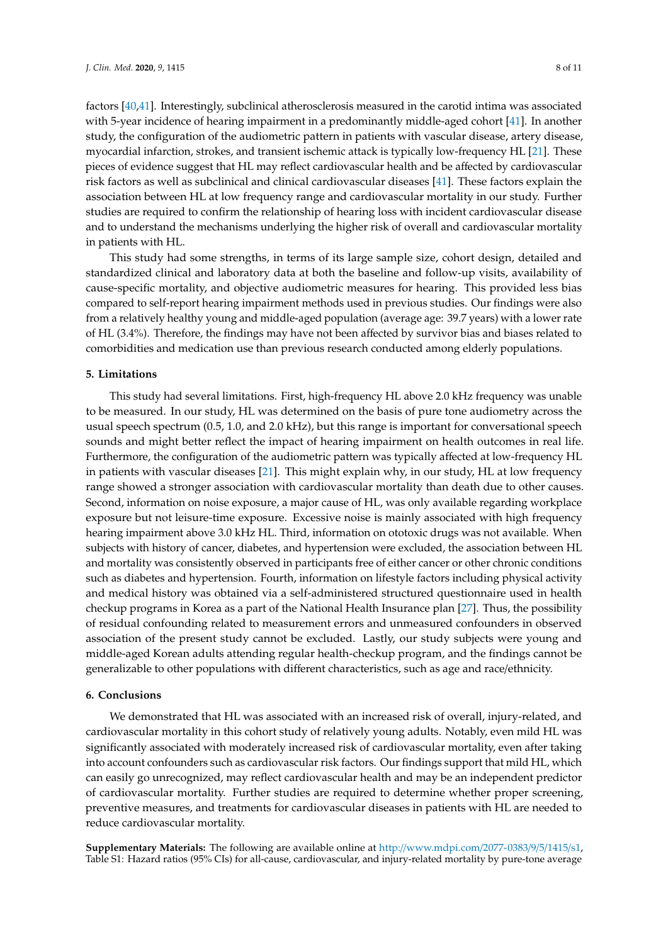factors [\[40](#page-10-11)[,41\]](#page-10-12). Interestingly, subclinical atherosclerosis measured in the carotid intima was associated with 5-year incidence of hearing impairment in a predominantly middle-aged cohort [\[41\]](#page-10-12). In another study, the configuration of the audiometric pattern in patients with vascular disease, artery disease, myocardial infarction, strokes, and transient ischemic attack is typically low-frequency HL [\[21\]](#page-9-10). These pieces of evidence suggest that HL may reflect cardiovascular health and be affected by cardiovascular risk factors as well as subclinical and clinical cardiovascular diseases [\[41\]](#page-10-12). These factors explain the association between HL at low frequency range and cardiovascular mortality in our study. Further studies are required to confirm the relationship of hearing loss with incident cardiovascular disease and to understand the mechanisms underlying the higher risk of overall and cardiovascular mortality in patients with HL.

This study had some strengths, in terms of its large sample size, cohort design, detailed and standardized clinical and laboratory data at both the baseline and follow-up visits, availability of cause-specific mortality, and objective audiometric measures for hearing. This provided less bias compared to self-report hearing impairment methods used in previous studies. Our findings were also from a relatively healthy young and middle-aged population (average age: 39.7 years) with a lower rate of HL (3.4%). Therefore, the findings may have not been affected by survivor bias and biases related to comorbidities and medication use than previous research conducted among elderly populations.

# **5. Limitations**

This study had several limitations. First, high-frequency HL above 2.0 kHz frequency was unable to be measured. In our study, HL was determined on the basis of pure tone audiometry across the usual speech spectrum (0.5, 1.0, and 2.0 kHz), but this range is important for conversational speech sounds and might better reflect the impact of hearing impairment on health outcomes in real life. Furthermore, the configuration of the audiometric pattern was typically affected at low-frequency HL in patients with vascular diseases [\[21\]](#page-9-10). This might explain why, in our study, HL at low frequency range showed a stronger association with cardiovascular mortality than death due to other causes. Second, information on noise exposure, a major cause of HL, was only available regarding workplace exposure but not leisure-time exposure. Excessive noise is mainly associated with high frequency hearing impairment above 3.0 kHz HL. Third, information on ototoxic drugs was not available. When subjects with history of cancer, diabetes, and hypertension were excluded, the association between HL and mortality was consistently observed in participants free of either cancer or other chronic conditions such as diabetes and hypertension. Fourth, information on lifestyle factors including physical activity and medical history was obtained via a self-administered structured questionnaire used in health checkup programs in Korea as a part of the National Health Insurance plan [\[27\]](#page-9-6). Thus, the possibility of residual confounding related to measurement errors and unmeasured confounders in observed association of the present study cannot be excluded. Lastly, our study subjects were young and middle-aged Korean adults attending regular health-checkup program, and the findings cannot be generalizable to other populations with different characteristics, such as age and race/ethnicity.

# **6. Conclusions**

We demonstrated that HL was associated with an increased risk of overall, injury-related, and cardiovascular mortality in this cohort study of relatively young adults. Notably, even mild HL was significantly associated with moderately increased risk of cardiovascular mortality, even after taking into account confounders such as cardiovascular risk factors. Our findings support that mild HL, which can easily go unrecognized, may reflect cardiovascular health and may be an independent predictor of cardiovascular mortality. Further studies are required to determine whether proper screening, preventive measures, and treatments for cardiovascular diseases in patients with HL are needed to reduce cardiovascular mortality.

**Supplementary Materials:** The following are available online at http://[www.mdpi.com](http://www.mdpi.com/2077-0383/9/5/1415/s1)/2077-0383/9/5/1415/s1, Table S1: Hazard ratios (95% CIs) for all-cause, cardiovascular, and injury-related mortality by pure-tone average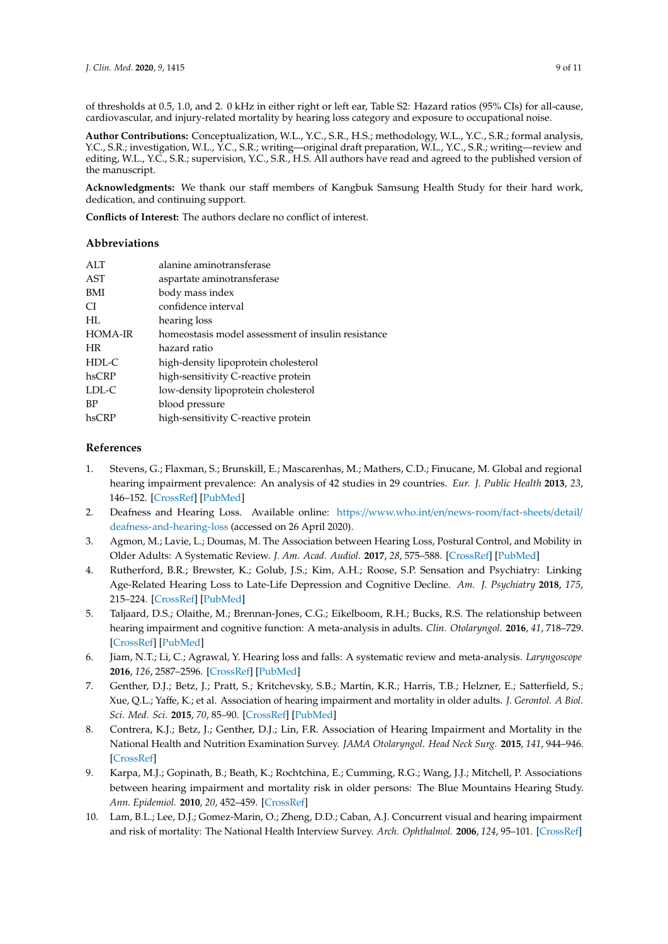of thresholds at 0.5, 1.0, and 2. 0 kHz in either right or left ear, Table S2: Hazard ratios (95% CIs) for all-cause, cardiovascular, and injury-related mortality by hearing loss category and exposure to occupational noise.

**Author Contributions:** Conceptualization, W.L., Y.C., S.R., H.S.; methodology, W.L., Y.C., S.R.; formal analysis, Y.C., S.R.; investigation, W.L., Y.C., S.R.; writing—original draft preparation, W.L., Y.C., S.R.; writing—review and editing, W.L., Y.C., S.R.; supervision, Y.C., S.R., H.S. All authors have read and agreed to the published version of the manuscript.

**Acknowledgments:** We thank our staff members of Kangbuk Samsung Health Study for their hard work, dedication, and continuing support.

**Conflicts of Interest:** The authors declare no conflict of interest.

# **Abbreviations**

| ATT            | alanine aminotransferase                           |
|----------------|----------------------------------------------------|
| AST            | aspartate aminotransferase                         |
| BMI            | body mass index                                    |
| CI.            | confidence interval                                |
| HL             | hearing loss                                       |
| <b>HOMA-IR</b> | homeostasis model assessment of insulin resistance |
| <b>HR</b>      | hazard ratio                                       |
| HDL-C          | high-density lipoprotein cholesterol               |
| hsCRP          | high-sensitivity C-reactive protein                |
| LDL-C          | low-density lipoprotein cholesterol                |
| <b>BP</b>      | blood pressure                                     |
| hsCRP          | high-sensitivity C-reactive protein                |

# **References**

- <span id="page-8-0"></span>1. Stevens, G.; Flaxman, S.; Brunskill, E.; Mascarenhas, M.; Mathers, C.D.; Finucane, M. Global and regional hearing impairment prevalence: An analysis of 42 studies in 29 countries. *Eur. J. Public Health* **2013**, *23*, 146–152. [\[CrossRef\]](http://dx.doi.org/10.1093/eurpub/ckr176) [\[PubMed\]](http://www.ncbi.nlm.nih.gov/pubmed/22197756)
- <span id="page-8-1"></span>2. Deafness and Hearing Loss. Available online: https://[www.who.int](https://www.who.int/en/news-room/fact-sheets/detail/deafness-and-hearing-loss)/en/news-room/fact-sheets/detail/ [deafness-and-hearing-loss](https://www.who.int/en/news-room/fact-sheets/detail/deafness-and-hearing-loss) (accessed on 26 April 2020).
- <span id="page-8-2"></span>3. Agmon, M.; Lavie, L.; Doumas, M. The Association between Hearing Loss, Postural Control, and Mobility in Older Adults: A Systematic Review. *J. Am. Acad. Audiol.* **2017**, *28*, 575–588. [\[CrossRef\]](http://dx.doi.org/10.3766/jaaa.16044) [\[PubMed\]](http://www.ncbi.nlm.nih.gov/pubmed/28590900)
- 4. Rutherford, B.R.; Brewster, K.; Golub, J.S.; Kim, A.H.; Roose, S.P. Sensation and Psychiatry: Linking Age-Related Hearing Loss to Late-Life Depression and Cognitive Decline. *Am. J. Psychiatry* **2018**, *175*, 215–224. [\[CrossRef\]](http://dx.doi.org/10.1176/appi.ajp.2017.17040423) [\[PubMed\]](http://www.ncbi.nlm.nih.gov/pubmed/29202654)
- 5. Taljaard, D.S.; Olaithe, M.; Brennan-Jones, C.G.; Eikelboom, R.H.; Bucks, R.S. The relationship between hearing impairment and cognitive function: A meta-analysis in adults. *Clin. Otolaryngol.* **2016**, *41*, 718–729. [\[CrossRef\]](http://dx.doi.org/10.1111/coa.12607) [\[PubMed\]](http://www.ncbi.nlm.nih.gov/pubmed/26670203)
- <span id="page-8-3"></span>6. Jiam, N.T.; Li, C.; Agrawal, Y. Hearing loss and falls: A systematic review and meta-analysis. *Laryngoscope* **2016**, *126*, 2587–2596. [\[CrossRef\]](http://dx.doi.org/10.1002/lary.25927) [\[PubMed\]](http://www.ncbi.nlm.nih.gov/pubmed/27010669)
- <span id="page-8-4"></span>7. Genther, D.J.; Betz, J.; Pratt, S.; Kritchevsky, S.B.; Martin, K.R.; Harris, T.B.; Helzner, E.; Satterfield, S.; Xue, Q.L.; Yaffe, K.; et al. Association of hearing impairment and mortality in older adults. *J. Gerontol. A Biol. Sci. Med. Sci.* **2015**, *70*, 85–90. [\[CrossRef\]](http://dx.doi.org/10.1093/gerona/glu094) [\[PubMed\]](http://www.ncbi.nlm.nih.gov/pubmed/25024235)
- 8. Contrera, K.J.; Betz, J.; Genther, D.J.; Lin, F.R. Association of Hearing Impairment and Mortality in the National Health and Nutrition Examination Survey. *JAMA Otolaryngol. Head Neck Surg.* **2015**, *141*, 944–946. [\[CrossRef\]](http://dx.doi.org/10.1001/jamaoto.2015.1762)
- 9. Karpa, M.J.; Gopinath, B.; Beath, K.; Rochtchina, E.; Cumming, R.G.; Wang, J.J.; Mitchell, P. Associations between hearing impairment and mortality risk in older persons: The Blue Mountains Hearing Study. *Ann. Epidemiol.* **2010**, *20*, 452–459. [\[CrossRef\]](http://dx.doi.org/10.1016/j.annepidem.2010.03.011)
- 10. Lam, B.L.; Lee, D.J.; Gomez-Marin, O.; Zheng, D.D.; Caban, A.J. Concurrent visual and hearing impairment and risk of mortality: The National Health Interview Survey. *Arch. Ophthalmol.* **2006**, *124*, 95–101. [\[CrossRef\]](http://dx.doi.org/10.1001/archopht.124.1.95)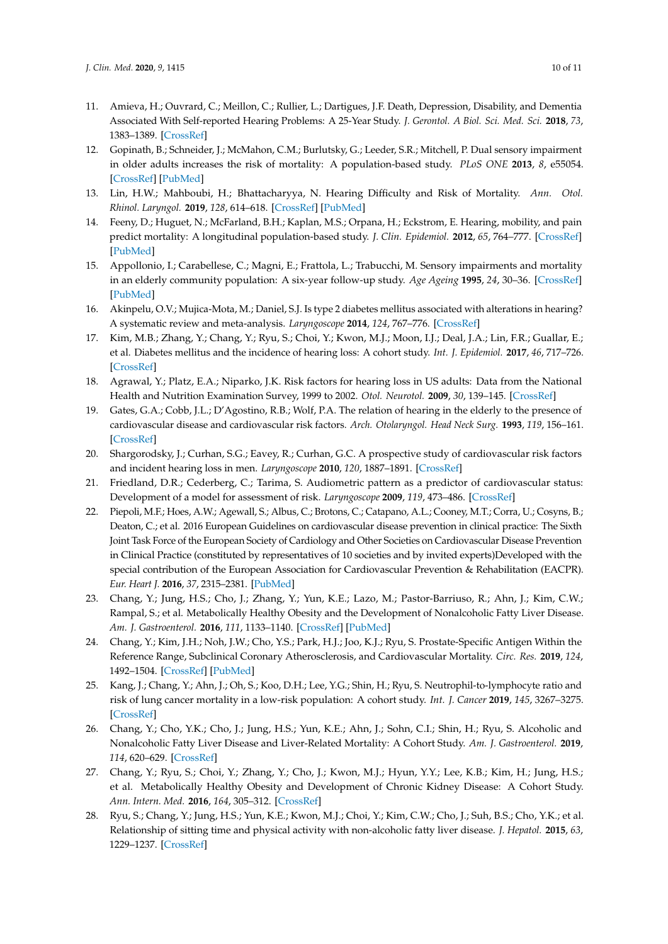- 11. Amieva, H.; Ouvrard, C.; Meillon, C.; Rullier, L.; Dartigues, J.F. Death, Depression, Disability, and Dementia Associated With Self-reported Hearing Problems: A 25-Year Study. *J. Gerontol. A Biol. Sci. Med. Sci.* **2018**, *73*, 1383–1389. [\[CrossRef\]](http://dx.doi.org/10.1093/gerona/glx250)
- 12. Gopinath, B.; Schneider, J.; McMahon, C.M.; Burlutsky, G.; Leeder, S.R.; Mitchell, P. Dual sensory impairment in older adults increases the risk of mortality: A population-based study. *PLoS ONE* **2013**, *8*, e55054. [\[CrossRef\]](http://dx.doi.org/10.1371/journal.pone.0055054) [\[PubMed\]](http://www.ncbi.nlm.nih.gov/pubmed/23469161)
- 13. Lin, H.W.; Mahboubi, H.; Bhattacharyya, N. Hearing Difficulty and Risk of Mortality. *Ann. Otol. Rhinol. Laryngol.* **2019**, *128*, 614–618. [\[CrossRef\]](http://dx.doi.org/10.1177/0003489419834948) [\[PubMed\]](http://www.ncbi.nlm.nih.gov/pubmed/30832489)
- 14. Feeny, D.; Huguet, N.; McFarland, B.H.; Kaplan, M.S.; Orpana, H.; Eckstrom, E. Hearing, mobility, and pain predict mortality: A longitudinal population-based study. *J. Clin. Epidemiol.* **2012**, *65*, 764–777. [\[CrossRef\]](http://dx.doi.org/10.1016/j.jclinepi.2012.01.003) [\[PubMed\]](http://www.ncbi.nlm.nih.gov/pubmed/22521576)
- <span id="page-9-0"></span>15. Appollonio, I.; Carabellese, C.; Magni, E.; Frattola, L.; Trabucchi, M. Sensory impairments and mortality in an elderly community population: A six-year follow-up study. *Age Ageing* **1995**, *24*, 30–36. [\[CrossRef\]](http://dx.doi.org/10.1093/ageing/24.1.30) [\[PubMed\]](http://www.ncbi.nlm.nih.gov/pubmed/7762459)
- <span id="page-9-1"></span>16. Akinpelu, O.V.; Mujica-Mota, M.; Daniel, S.J. Is type 2 diabetes mellitus associated with alterations in hearing? A systematic review and meta-analysis. *Laryngoscope* **2014**, *124*, 767–776. [\[CrossRef\]](http://dx.doi.org/10.1002/lary.24354)
- <span id="page-9-8"></span>17. Kim, M.B.; Zhang, Y.; Chang, Y.; Ryu, S.; Choi, Y.; Kwon, M.J.; Moon, I.J.; Deal, J.A.; Lin, F.R.; Guallar, E.; et al. Diabetes mellitus and the incidence of hearing loss: A cohort study. *Int. J. Epidemiol.* **2017**, *46*, 717–726. [\[CrossRef\]](http://dx.doi.org/10.1093/ije/dyw243)
- 18. Agrawal, Y.; Platz, E.A.; Niparko, J.K. Risk factors for hearing loss in US adults: Data from the National Health and Nutrition Examination Survey, 1999 to 2002. *Otol. Neurotol.* **2009**, *30*, 139–145. [\[CrossRef\]](http://dx.doi.org/10.1097/MAO.0b013e318192483c)
- 19. Gates, G.A.; Cobb, J.L.; D'Agostino, R.B.; Wolf, P.A. The relation of hearing in the elderly to the presence of cardiovascular disease and cardiovascular risk factors. *Arch. Otolaryngol. Head Neck Surg.* **1993**, *119*, 156–161. [\[CrossRef\]](http://dx.doi.org/10.1001/archotol.1993.01880140038006)
- 20. Shargorodsky, J.; Curhan, S.G.; Eavey, R.; Curhan, G.C. A prospective study of cardiovascular risk factors and incident hearing loss in men. *Laryngoscope* **2010**, *120*, 1887–1891. [\[CrossRef\]](http://dx.doi.org/10.1002/lary.21039)
- <span id="page-9-10"></span>21. Friedland, D.R.; Cederberg, C.; Tarima, S. Audiometric pattern as a predictor of cardiovascular status: Development of a model for assessment of risk. *Laryngoscope* **2009**, *119*, 473–486. [\[CrossRef\]](http://dx.doi.org/10.1002/lary.20130)
- <span id="page-9-2"></span>22. Piepoli, M.F.; Hoes, A.W.; Agewall, S.; Albus, C.; Brotons, C.; Catapano, A.L.; Cooney, M.T.; Corra, U.; Cosyns, B.; Deaton, C.; et al. 2016 European Guidelines on cardiovascular disease prevention in clinical practice: The Sixth Joint Task Force of the European Society of Cardiology and Other Societies on Cardiovascular Disease Prevention in Clinical Practice (constituted by representatives of 10 societies and by invited experts)Developed with the special contribution of the European Association for Cardiovascular Prevention & Rehabilitation (EACPR). *Eur. Heart J.* **2016**, *37*, 2315–2381. [\[PubMed\]](http://www.ncbi.nlm.nih.gov/pubmed/27222591)
- <span id="page-9-3"></span>23. Chang, Y.; Jung, H.S.; Cho, J.; Zhang, Y.; Yun, K.E.; Lazo, M.; Pastor-Barriuso, R.; Ahn, J.; Kim, C.W.; Rampal, S.; et al. Metabolically Healthy Obesity and the Development of Nonalcoholic Fatty Liver Disease. *Am. J. Gastroenterol.* **2016**, *111*, 1133–1140. [\[CrossRef\]](http://dx.doi.org/10.1038/ajg.2016.178) [\[PubMed\]](http://www.ncbi.nlm.nih.gov/pubmed/27185080)
- <span id="page-9-4"></span>24. Chang, Y.; Kim, J.H.; Noh, J.W.; Cho, Y.S.; Park, H.J.; Joo, K.J.; Ryu, S. Prostate-Specific Antigen Within the Reference Range, Subclinical Coronary Atherosclerosis, and Cardiovascular Mortality. *Circ. Res.* **2019**, *124*, 1492–1504. [\[CrossRef\]](http://dx.doi.org/10.1161/CIRCRESAHA.118.313413) [\[PubMed\]](http://www.ncbi.nlm.nih.gov/pubmed/30885050)
- <span id="page-9-9"></span>25. Kang, J.; Chang, Y.; Ahn, J.; Oh, S.; Koo, D.H.; Lee, Y.G.; Shin, H.; Ryu, S. Neutrophil-to-lymphocyte ratio and risk of lung cancer mortality in a low-risk population: A cohort study. *Int. J. Cancer* **2019**, *145*, 3267–3275. [\[CrossRef\]](http://dx.doi.org/10.1002/ijc.32640)
- <span id="page-9-5"></span>26. Chang, Y.; Cho, Y.K.; Cho, J.; Jung, H.S.; Yun, K.E.; Ahn, J.; Sohn, C.I.; Shin, H.; Ryu, S. Alcoholic and Nonalcoholic Fatty Liver Disease and Liver-Related Mortality: A Cohort Study. *Am. J. Gastroenterol.* **2019**, *114*, 620–629. [\[CrossRef\]](http://dx.doi.org/10.14309/ajg.0000000000000074)
- <span id="page-9-6"></span>27. Chang, Y.; Ryu, S.; Choi, Y.; Zhang, Y.; Cho, J.; Kwon, M.J.; Hyun, Y.Y.; Lee, K.B.; Kim, H.; Jung, H.S.; et al. Metabolically Healthy Obesity and Development of Chronic Kidney Disease: A Cohort Study. *Ann. Intern. Med.* **2016**, *164*, 305–312. [\[CrossRef\]](http://dx.doi.org/10.7326/M15-1323)
- <span id="page-9-7"></span>28. Ryu, S.; Chang, Y.; Jung, H.S.; Yun, K.E.; Kwon, M.J.; Choi, Y.; Kim, C.W.; Cho, J.; Suh, B.S.; Cho, Y.K.; et al. Relationship of sitting time and physical activity with non-alcoholic fatty liver disease. *J. Hepatol.* **2015**, *63*, 1229–1237. [\[CrossRef\]](http://dx.doi.org/10.1016/j.jhep.2015.07.010)